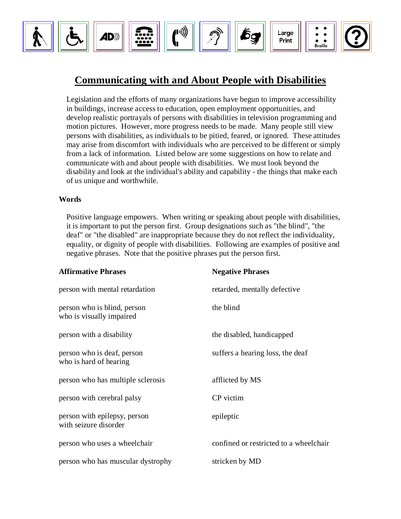

## **Communicating with and About People with Disabilities**

Legislation and the efforts of many organizations have begun to improve accessibility in buildings, increase access to education, open employment opportunities, and develop realistic portrayals of persons with disabilities in television programming and motion pictures. However, more progress needs to be made. Many people still view persons with disabilities, as individuals to be pitied, feared, or ignored. These attitudes may arise from discomfort with individuals who are perceived to be different or simply from a lack of information. Listed below are some suggestions on how to relate and communicate with and about people with disabilities. We must look beyond the disability and look at the individual's ability and capability - the things that make each of us unique and worthwhile.

## **Words**

Positive language empowers. When writing or speaking about people with disabilities, it is important to put the person first. Group designations such as "the blind", "the deaf" or "the disabled" are inappropriate because they do not reflect the individuality, equality, or dignity of people with disabilities. Following are examples of positive and negative phrases. Note that the positive phrases put the person first.

| <b>Affirmative Phrases</b>                              | <b>Negative Phrases</b>                |
|---------------------------------------------------------|----------------------------------------|
| person with mental retardation                          | retarded, mentally defective           |
| person who is blind, person<br>who is visually impaired | the blind                              |
| person with a disability                                | the disabled, handicapped              |
| person who is deaf, person<br>who is hard of hearing    | suffers a hearing loss, the deaf       |
| person who has multiple sclerosis                       | afflicted by MS                        |
| person with cerebral palsy                              | CP victim                              |
| person with epilepsy, person<br>with seizure disorder   | epileptic                              |
| person who uses a wheelchair                            | confined or restricted to a wheelchair |
| person who has muscular dystrophy                       | stricken by MD                         |